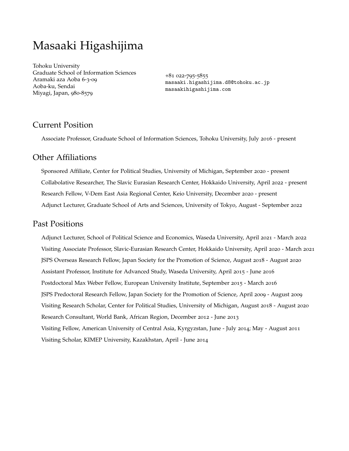# Masaaki Higashijima

Tohoku University Graduate School of Information Sciences Aramaki aza Aoba 6-3-09 Aoba-ku, Sendai Miyagi, Japan, 980-8579

+81 022-795-5855 masaaki.higashijima.d8@tohoku.ac.jp masaakihigashijima.com

# Current Position

Associate Professor, Graduate School of Information Sciences, Tohoku University, July 2016 - present

### Other Affiliations

Sponsored Affiliate, Center for Political Studies, University of Michigan, September 2020 - present Collabolative Researcher, The Slavic Eurasian Research Center, Hokkaido University, April 2022 - present Research Fellow, V-Dem East Asia Regional Center, Keio University, December 2020 - present Adjunct Lecturer, Graduate School of Arts and Sciences, University of Tokyo, August - September 2022

# Past Positions

Adjunct Lecturer, School of Political Science and Economics, Waseda University, April 2021 - March 2022 Visiting Associate Professor, Slavic-Eurasian Research Center, Hokkaido University, April 2020 - March 2021 JSPS Overseas Research Fellow, Japan Society for the Promotion of Science, August 2018 - August 2020 Assistant Professor, Institute for Advanced Study, Waseda University, April 2015 - June 2016 Postdoctoral Max Weber Fellow, European University Institute, September 2015 - March 2016 JSPS Predoctoral Research Fellow, Japan Society for the Promotion of Science, April 2009 - August 2009 Visiting Research Scholar, Center for Political Studies, University of Michigan, August 2018 - August 2020 Research Consultant, World Bank, African Region, December 2012 - June 2013 Visiting Fellow, American University of Central Asia, Kyrgyzstan, June - July 2014; May - August 2011 Visiting Scholar, KIMEP University, Kazakhstan, April - June 2014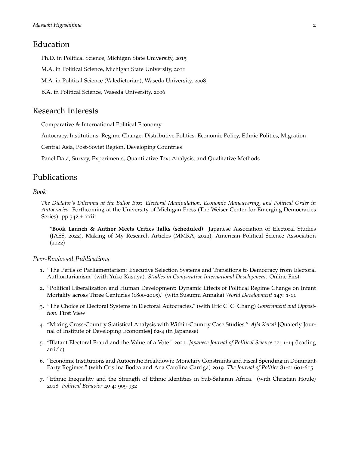### Education

Ph.D. in Political Science, Michigan State University, 2015

M.A. in Political Science, Michigan State University, 2011

M.A. in Political Science (Valedictorian), Waseda University, 2008

B.A. in Political Science, Waseda University, 2006

### Research Interests

Comparative & International Political Economy

Autocracy, Institutions, Regime Change, Distributive Politics, Economic Policy, Ethnic Politics, Migration

Central Asia, Post-Soviet Region, Developing Countries

Panel Data, Survey, Experiments, Quantitative Text Analysis, and Qualitative Methods

### Publications

#### *Book*

*The Dictator's Dilemma at the Ballot Box: Electoral Manipulation, Economic Maneuvering, and Political Order in Autocracies*. Forthcoming at the University of Michigan Press (The Weiser Center for Emerging Democracies Series). pp.342 + xxiii

\***Book Launch & Author Meets Critics Talks (scheduled)**: Japanese Association of Electoral Studies (JAES, 2022), Making of My Research Articles (MMRA, 2022), American Political Science Association (2022)

#### *Peer-Reviewed Publications*

- 1. "The Perils of Parliamentarism: Executive Selection Systems and Transitions to Democracy from Electoral Authoritarianism" (with Yuko Kasuya). *Studies in Comparative International Development.* Online First
- 2. "Political Liberalization and Human Development: Dynamic Effects of Political Regime Change on Infant Mortality across Three Centuries (1800-2015)." (with Susumu Annaka) *World Development* 147: 1-11
- 3. "The Choice of Electoral Systems in Electoral Autocracies." (with Eric C. C. Chang) *Government and Opposition.* First View
- 4. "Mixing Cross-Country Statistical Analysis with Within-Country Case Studies." *Ajia Keizai* [Quaterly Journal of Institute of Developing Economies] 62-4 (in Japanese)
- 5. "Blatant Electoral Fraud and the Value of a Vote." 2021. *Japanese Journal of Political Science* 22: 1-14 (leading article)
- 6. "Economic Institutions and Autocratic Breakdown: Monetary Constraints and Fiscal Spending in Dominant-Party Regimes." (with Cristina Bodea and Ana Carolina Garriga) 2019. *The Journal of Politics* 81-2: 601-615
- 7. "Ethnic Inequality and the Strength of Ethnic Identities in Sub-Saharan Africa." (with Christian Houle) 2018. *Political Behavior* 40-4: 909-932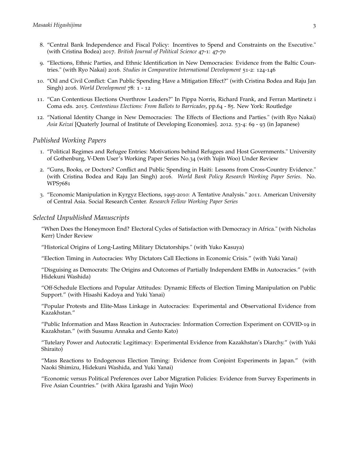- 8. "Central Bank Independence and Fiscal Policy: Incentives to Spend and Constraints on the Executive." (with Cristina Bodea) 2017. *British Journal of Political Science* 47-1: 47-70
- 9. "Elections, Ethnic Parties, and Ethnic Identification in New Democracies: Evidence from the Baltic Countries." (with Ryo Nakai) 2016. *Studies in Comparative International Development* 51-2: 124-146
- 10. "Oil and Civil Conflict: Can Public Spending Have a Mitigation Effect?" (with Cristina Bodea and Raju Jan Singh) 2016. *World Development* 78: 1 - 12
- 11. "Can Contentious Elections Overthrow Leaders?" In Pippa Norris, Richard Frank, and Ferran Martinetz i Coma eds. 2015. *Contentious Elections: From Ballots to Barricades*, pp.64 - 85. New York: Routledge
- 12. "National Identity Change in New Democracies: The Effects of Elections and Parties." (with Ryo Nakai) *Asia Keizai* [Quaterly Journal of Institute of Developing Economies]. 2012. 53-4: 69 - 93 (in Japanese)

#### *Published Working Papers*

- 1. "Political Regimes and Refugee Entries: Motivations behind Refugees and Host Governments." University of Gothenburg, V-Dem User's Working Paper Series No.34 (with Yujin Woo) Under Review
- 2. "Guns, Books, or Doctors? Conflict and Public Spending in Haiti: Lessons from Cross-Country Evidence." (with Cristina Bodea and Raju Jan Singh) 2016. *World Bank Policy Research Working Paper Series*. No. WPS7681
- 3. "Economic Manipulation in Kyrgyz Elections, 1995-2010: A Tentative Analysis." 2011. American University of Central Asia. Social Research Center. *Research Fellow Working Paper Series*

#### *Selected Unpublished Manuscripts*

"When Does the Honeymoon End? Electoral Cycles of Satisfaction with Democracy in Africa." (with Nicholas Kerr) Under Review

"Historical Origins of Long-Lasting Military Dictatorships." (with Yuko Kasuya)

"Election Timing in Autocracies: Why Dictators Call Elections in Economic Crisis." (with Yuki Yanai)

"Disguising as Democrats: The Origins and Outcomes of Partially Independent EMBs in Autocracies." (with Hidekuni Washida)

"Off-Schedule Elections and Popular Attitudes: Dynamic Effects of Election Timing Manipulation on Public Support." (with Hisashi Kadoya and Yuki Yanai)

"Popular Protests and Elite-Mass Linkage in Autocracies: Experimental and Observational Evidence from Kazakhstan."

"Public Information and Mass Reaction in Autocracies: Information Correction Experiment on COVID-19 in Kazakhstan." (with Susumu Annaka and Gento Kato)

"Tutelary Power and Autocratic Legitimacy: Experimental Evidence from Kazakhstan's Diarchy." (with Yuki Shiraito)

"Mass Reactions to Endogenous Election Timing: Evidence from Conjoint Experiments in Japan." (with Naoki Shimizu, Hidekuni Washida, and Yuki Yanai)

"Economic versus Political Preferences over Labor Migration Policies: Evidence from Survey Experiments in Five Asian Countries." (with Akira Igarashi and Yujin Woo)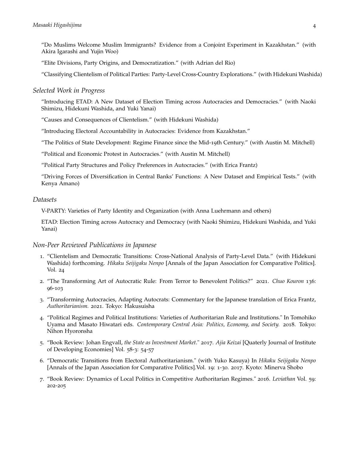"Do Muslims Welcome Muslim Immigrants? Evidence from a Conjoint Experiment in Kazakhstan." (with Akira Igarashi and Yujin Woo)

"Elite Divisions, Party Origins, and Democratization." (with Adrian del Rio)

"Classifying Clientelism of Political Parties: Party-Level Cross-Country Explorations." (with Hidekuni Washida)

#### *Selected Work in Progress*

"Introducing ETAD: A New Dataset of Election Timing across Autocracies and Democracies." (with Naoki Shimizu, Hidekuni Washida, and Yuki Yanai)

"Causes and Consequences of Clientelism." (with Hidekuni Washida)

"Introducing Electoral Accountability in Autocracies: Evidence from Kazakhstan."

"The Politics of State Development: Regime Finance since the Mid-19th Century." (with Austin M. Mitchell)

"Political and Economic Protest in Autocracies." (with Austin M. Mitchell)

"Political Party Structures and Policy Preferences in Autocracies." (with Erica Frantz)

"Driving Forces of Diversification in Central Banks' Functions: A New Dataset and Empirical Tests." (with Kenya Amano)

#### *Datasets*

V-PARTY: Varieties of Party Identity and Organization (with Anna Luehrmann and others)

ETAD: Election Timing across Autocracy and Democracy (with Naoki Shimizu, Hidekuni Washida, and Yuki Yanai)

#### *Non-Peer Reviewed Publications in Japanese*

- 1. "Clientelism and Democratic Transitions: Cross-National Analysis of Party-Level Data." (with Hidekuni Washida) forthcoming. *Hikaku Seijigaku Nenpo* [Annals of the Japan Association for Comparative Politics]. Vol. 24
- 2. "The Transforming Art of Autocratic Rule: From Terror to Benevolent Politics?" 2021. *Chuo Kouron* 136: 96-103
- 3. "Transforming Autocracies, Adapting Autocrats: Commentary for the Japanese translation of Erica Frantz, *Authoritarianism.* 2021. Tokyo: Hakusuisha
- 4. "Political Regimes and Political Institutions: Varieties of Authoritarian Rule and Institutions." In Tomohiko Uyama and Masato Hiwatari eds. *Contemporary Central Asia: Politics, Economy, and Society.* 2018. Tokyo: Nihon Hyoronsha
- 5. "Book Review: Johan Engvall, *the State as Investment Market*." 2017. *Ajia Keizai* [Quaterly Journal of Institute of Developing Economies] Vol. 58-3: 54-57
- 6. "Democratic Transitions from Electoral Authoritarianism." (with Yuko Kasuya) In *Hikaku Seijigaku Nenpo* [Annals of the Japan Association for Comparative Politics].Vol. 19: 1-30. 2017. Kyoto: Minerva Shobo
- 7. "Book Review: Dynamics of Local Politics in Competitive Authoritarian Regimes." 2016. *Leviathan* Vol. 59: 202-205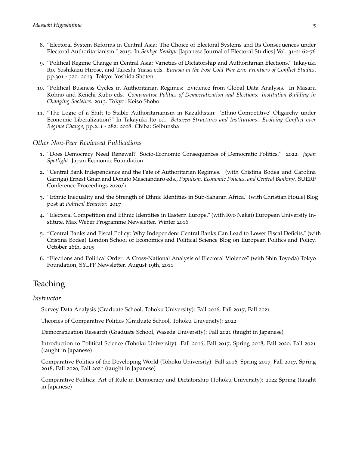- 8. "Electoral System Reforms in Central Asia: The Choice of Electoral Systems and Its Consequences under Electoral Authoritarianism." 2015. In *Senkyo Kenkyu* [Japanese Journal of Electoral Studies] Vol. 31-2: 62-76
- 9. "Political Regime Change in Central Asia: Varieties of Dictatorship and Authoritarian Elections." Takayuki Ito, Yoshikazu Hirose, and Takeshi Yuasa eds. *Eurasia in the Post Cold War Era: Frontiers of Conflict Studies*, pp.301 - 320. 2013. Tokyo: Yoshida Shoten
- 10. "Political Business Cycles in Authoritarian Regimes: Evidence from Global Data Analysis." In Masaru Kohno and Keiichi Kubo eds. *Comparative Politics of Democratization and Elections: Institution Building in Changing Societies*. 2013. Tokyo: Keiso Shobo
- 11. "The Logic of a Shift to Stable Authoritarianism in Kazakhstan: 'Ethno-Competitive' Oligarchy under Economic Liberalization?" In Takayuki Ito ed. *Between Structures and Institutions: Evolving Conflict over Regime Change*, pp.241 - 282. 2008. Chiba: Seibunsha

#### *Other Non-Peer Reviewed Publications*

- 1. "Does Democracy Need Renewal? Socio-Economic Consequences of Democratic Politics." 2022. *Japan Spotlight.* Japan Economic Foundation
- 2. "Central Bank Independence and the Fate of Authoritarian Regimes." (with Cristina Bodea and Carolina Garriga) Ernest Gnan and Donato Masciandaro eds., *Populism, Economic Policies, and Central Banking.* SUERF Conference Proceedings 2020/1
- 3. "Ethnic Inequality and the Strength of Ethnic Identities in Sub-Saharan Africa." (with Christian Houle) Blog post at *Political Behavior.* 2017
- 4. "Electoral Competition and Ethnic Identities in Eastern Europe." (with Ryo Nakai) European University Institute, Max Weber Programme Newsletter. Winter 2016
- 5. "Central Banks and Fiscal Policy: Why Independent Central Banks Can Lead to Lower Fiscal Deficits." (with Cristina Bodea) London School of Economics and Political Science Blog on European Politics and Policy. October 26th, 2015
- 6. "Elections and Political Order: A Cross-National Analysis of Electoral Violence" (with Shin Toyoda) Tokyo Foundation, SYLFF Newsletter. August 19th, 2011

# Teaching

#### *Instructor*

Survey Data Analysis (Graduate School, Tohoku University): Fall 2016, Fall 2017, Fall 2021

Theories of Comparative Politics (Graduate School, Tohoku University): 2022

Democratization Research (Graduate School, Waseda University): Fall 2021 (taught in Japanese)

Introduction to Political Science (Tohoku University): Fall 2016, Fall 2017, Spring 2018, Fall 2020, Fall 2021 (taught in Japanese)

Comparative Politics of the Developing World (Tohoku University): Fall 2016, Spring 2017, Fall 2017, Spring 2018, Fall 2020, Fall 2021 (taught in Japanese)

Comparative Politics: Art of Rule in Democracy and Dictatorship (Tohoku University): 2022 Spring (taught in Japanese)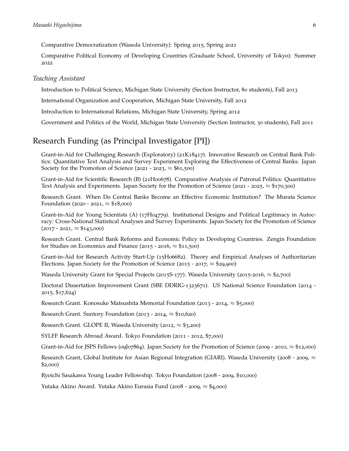Comparative Democratization (Waseda University): Spring 2015, Spring 2021

Comparative Political Economy of Developing Countries (Graduate School, University of Tokyo): Summer 2022

#### *Teaching Assistant*

Introduction to Political Science, Michigan State University (Section Instructor, 80 students), Fall 2013

International Organization and Cooperation, Michigan State University, Fall 2012

Introduction to International Relations, Michigan State University, Spring 2012

Government and Politics of the World, Michigan State University (Section Instructor, 30 students), Fall 2011

### Research Funding (as Principal Investigator [PI])

Grant-in-Aid for Challenging Research (Exploratory) (21K18417). Innovative Research on Central Bank Politics: Quantitative Text Analysis and Survey Experiment Exploring the Effectiveness of Central Banks. Japan Society for the Promotion of Science (2021 - 2023,  $\approx$  \$61,500)

Grant-in-Aid for Scientific Research (B) (21H00678). Comparative Analysis of Patronal Politics: Quantitative Text Analysis and Experiments. Japan Society for the Promotion of Science (<sup>2021</sup> - <sup>2025</sup>, *<sup>≈</sup>* \$170,300)

Research Grant. When Do Central Banks Become an Effective Economic Institution? The Murata Science Foundation (<sup>2020</sup> - <sup>2021</sup>, *<sup>≈</sup>* \$18,000)

Grant-in-Aid for Young Scientists (A) (17H04779). Institutional Designs and Political Legitimacy in Autocracy: Cross-National Statistical Analyses and Survey Experiments. Japan Society for the Promotion of Science (<sup>2017</sup> - <sup>2021</sup>, *<sup>≈</sup>* \$143,000)

Research Grant. Central Bank Reforms and Economic Policy in Developing Countries. Zengin Foundation for Studies on Economics and Finance (<sup>2015</sup> - <sup>2016</sup>, *<sup>≈</sup>* \$11,500)

Grant-in-Aid for Research Activity Start-Up (15H06682). Theory and Empirical Analyses of Authoritarian Elections. Japan Society for the Promotion of Science (<sup>2015</sup> - <sup>2017</sup>, *<sup>≈</sup>* \$29,900)

Waseda University Grant for Special Projects (2015S-177). Waseda University (2015-2016, *<sup>≈</sup>* \$2,700)

Doctoral Dissertation Improvement Grant (SBE DDRIG-1323671). US National Science Foundation (2014 - 2015, \$17,624)

Research Grant. Konosuke Matsushita Memorial Foundation (<sup>2013</sup> - <sup>2014</sup>, *<sup>≈</sup>* \$5,000)

Research Grant. Suntory Foundation (<sup>2013</sup> - <sup>2014</sup>, *<sup>≈</sup>* \$10,620)

Research Grant. GLOPE II, Waseda University (2012, *<sup>≈</sup>* \$3,200)

SYLFF Research Abroad Award. Tokyo Foundation (2011 - 2012, \$7,000)

Grant-in-Aid for JSPS Fellows (09J07864). Japan Society for the Promotion of Science (<sup>2009</sup> - <sup>2010</sup>, *<sup>≈</sup>* \$12,000)

Research Grant, Global Institute for Asian Regional Integration (GIARI). Waseda University (<sup>2008</sup> - <sup>2009</sup>, *<sup>≈</sup>* \$2,000)

Ryoichi Sasakawa Young Leader Fellowship. Tokyo Foundation (2008 - 2009, \$10,000)

Yutaka Akino Award. Yutaka Akino Eurasia Fund (<sup>2008</sup> - <sup>2009</sup>, *<sup>≈</sup>* \$4,000)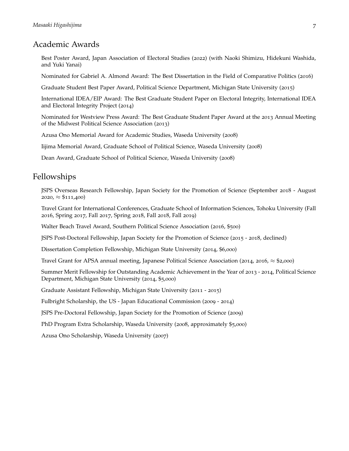### Academic Awards

Best Poster Award, Japan Association of Electoral Studies (2022) (with Naoki Shimizu, Hidekuni Washida, and Yuki Yanai)

Nominated for Gabriel A. Almond Award: The Best Dissertation in the Field of Comparative Politics (2016)

Graduate Student Best Paper Award, Political Science Department, Michigan State University (2015)

International IDEA/ElP Award: The Best Graduate Student Paper on Electoral Integrity, International IDEA and Electoral Integrity Project (2014)

Nominated for Westview Press Award: The Best Graduate Student Paper Award at the 2013 Annual Meeting of the Midwest Political Science Association (2013)

Azusa Ono Memorial Award for Academic Studies, Waseda University (2008)

Iijima Memorial Award, Graduate School of Political Science, Waseda University (2008)

Dean Award, Graduate School of Political Science, Waseda University (2008)

# Fellowships

JSPS Overseas Research Fellowship, Japan Society for the Promotion of Science (September 2018 - August <sup>2020</sup>, *<sup>≈</sup>* \$111,400)

Travel Grant for International Conferences, Graduate School of Information Sciences, Tohoku University (Fall 2016, Spring 2017, Fall 2017, Spring 2018, Fall 2018, Fall 2019)

Walter Beach Travel Award, Southern Political Science Association (2016, \$500)

JSPS Post-Doctoral Fellowship, Japan Society for the Promotion of Science (2015 - 2018, declined)

Dissertation Completion Fellowship, Michigan State University (2014, \$6,000)

Travel Grant for APSA annual meeting, Japanese Political Science Association (2014, <sup>2016</sup>, *<sup>≈</sup>* \$2,000)

Summer Merit Fellowship for Outstanding Academic Achievement in the Year of 2013 - 2014, Political Science Department, Michigan State University (2014, \$5,000)

Graduate Assistant Fellowship, Michigan State University (2011 - 2015)

Fulbright Scholarship, the US - Japan Educational Commission (2009 - 2014)

JSPS Pre-Doctoral Fellowship, Japan Society for the Promotion of Science (2009)

PhD Program Extra Scholarship, Waseda University (2008, approximately \$5,000)

Azusa Ono Scholarship, Waseda University (2007)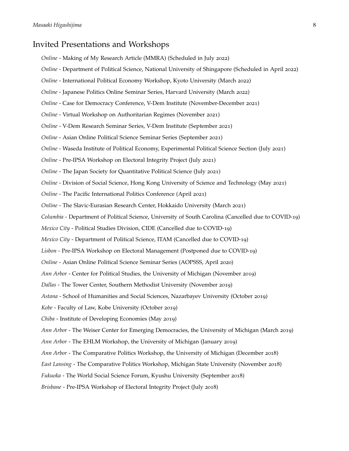### Invited Presentations and Workshops

- *Online* Making of My Research Article (MMRA) (Scheduled in July 2022)
- *Online* Department of Political Science, National University of Shingapore (Scheduled in April 2022)
- *Online* International Political Economy Workshop, Kyoto University (March 2022)
- *Online* Japanese Politics Online Seminar Series, Harvard University (March 2022)
- *Online* Case for Democracy Conference, V-Dem Institute (November-December 2021)
- *Online* Virtual Workshop on Authoritarian Regimes (November 2021)
- *Online* V-Dem Research Seminar Series, V-Dem Institute (September 2021)
- *Online* Asian Online Political Science Seminar Series (September 2021)
- *Online* Waseda Institute of Political Economy, Experimental Political Science Section (July 2021)
- *Online* Pre-IPSA Workshop on Electoral Integrity Project (July 2021)
- *Online* The Japan Society for Quantitative Political Science (July 2021)
- *Online* Division of Social Science, Hong Kong University of Science and Technology (May 2021)
- *Online* The Pacific International Politics Conference (April 2021)
- *Online* The Slavic-Eurasian Research Center, Hokkaido University (March 2021)
- *Columbia* Department of Political Science, University of South Carolina (Cancelled due to COVID-19)
- *Mexico City* Political Studies Division, CIDE (Cancelled due to COVID-19)
- *Mexico City* Department of Political Science, ITAM (Cancelled due to COVID-19)
- *Lisbon* Pre-IPSA Workshop on Electoral Management (Postponed due to COVID-19)
- *Online* Asian Online Political Science Seminar Series (AOPSSS, April 2020)
- *Ann Arbor* Center for Political Studies, the University of Michigan (November 2019)
- *Dallas* The Tower Center, Southern Methodist University (November 2019)
- *Astana* School of Humanities and Social Sciences, Nazarbayev University (October 2019)
- *Kobe* Faculty of Law, Kobe University (October 2019)
- *Chiba* Institute of Developing Economies (May 2019)
- *Ann Arbor* The Weiser Center for Emerging Democracies, the University of Michigan (March 2019)
- *Ann Arbor* The EHLM Workshop, the University of Michigan (January 2019)
- *Ann Arbor* The Comparative Politics Workshop, the University of Michigan (December 2018)
- *East Lansing* The Comparative Politics Workshop, Michigan State University (November 2018)
- *Fukuoka* The World Social Science Forum, Kyushu University (September 2018)
- *Brisbane* Pre-IPSA Workshop of Electoral Integrity Project (July 2018)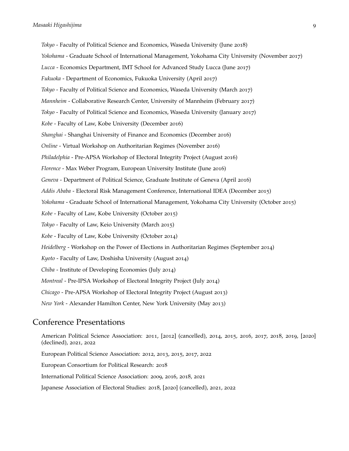*Tokyo* - Faculty of Political Science and Economics, Waseda University (June 2018) *Yokohama* - Graduate School of International Management, Yokohama City University (November 2017) *Lucca* - Economics Department, IMT School for Advanced Study Lucca (June 2017) *Fukuoka* - Department of Economics, Fukuoka University (April 2017) *Tokyo* - Faculty of Political Science and Economics, Waseda University (March 2017) *Mannheim* - Collaborative Research Center, University of Mannheim (February 2017) *Tokyo* - Faculty of Political Science and Economics, Waseda University (January 2017) *Kobe* - Faculty of Law, Kobe University (December 2016) *Shanghai* - Shanghai University of Finance and Economics (December 2016) *Online* - Virtual Workshop on Authoritarian Regimes (November 2016) *Philadelphia* - Pre-APSA Workshop of Electoral Integrity Project (August 2016) *Florence* - Max Weber Program, European University Institute (June 2016) *Geneva* - Department of Political Science, Graduate Institute of Geneva (April 2016) *Addis Ababa* - Electoral Risk Management Conference, International IDEA (December 2015) *Yokohama* - Graduate School of International Management, Yokohama City University (October 2015) *Kobe* - Faculty of Law, Kobe University (October 2015) *Tokyo* - Faculty of Law, Keio University (March 2015) *Kobe* - Faculty of Law, Kobe University (October 2014) *Heidelberg* - Workshop on the Power of Elections in Authoritarian Regimes (September 2014) *Kyoto* - Faculty of Law, Doshisha University (August 2014) *Chiba* - Institute of Developing Economies (July 2014) *Montreal* - Pre-IPSA Workshop of Electoral Integrity Project (July 2014) *Chicago* - Pre-APSA Workshop of Electoral Integrity Project (August 2013) *New York* - Alexander Hamilton Center, New York University (May 2013)

### Conference Presentations

American Political Science Association: 2011, [2012] (cancelled), 2014, 2015, 2016, 2017, 2018, 2019, [2020] (declined), 2021, 2022 European Political Science Association: 2012, 2013, 2015, 2017, 2022 European Consortium for Political Research: 2018 International Political Science Association: 2009, 2016, 2018, 2021 Japanese Association of Electoral Studies: 2018, [2020] (cancelled), 2021, 2022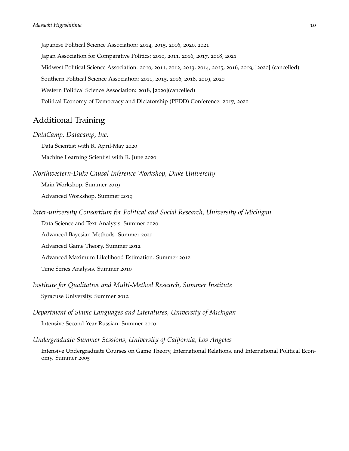Japanese Political Science Association: 2014, 2015, 2016, 2020, 2021 Japan Association for Comparative Politics: 2010, 2011, 2016, 2017, 2018, 2021 Midwest Political Science Association: 2010, 2011, 2012, 2013, 2014, 2015, 2016, 2019, [2020] (cancelled) Southern Political Science Association: 2011, 2015, 2016, 2018, 2019, 2020 Western Political Science Association: 2018, [2020](cancelled) Political Economy of Democracy and Dictatorship (PEDD) Conference: 2017, 2020

# Additional Training

*DataCamp, Datacamp, Inc.*

Data Scientist with R. April-May 2020

Machine Learning Scientist with R. June 2020

*Northwestern-Duke Causal Inference Workshop, Duke University*

Main Workshop. Summer 2019 Advanced Workshop. Summer 2019

*Inter-university Consortium for Political and Social Research, University of Michigan*

Data Science and Text Analysis. Summer 2020

Advanced Bayesian Methods. Summer 2020

Advanced Game Theory. Summer 2012

Advanced Maximum Likelihood Estimation. Summer 2012

Time Series Analysis. Summer 2010

*Institute for Qualitative and Multi-Method Research, Summer Institute*

Syracuse University. Summer 2012

*Department of Slavic Languages and Literatures, University of Michigan* Intensive Second Year Russian. Summer 2010

*Undergraduate Summer Sessions, University of California, Los Angeles*

Intensive Undergraduate Courses on Game Theory, International Relations, and International Political Economy. Summer 2005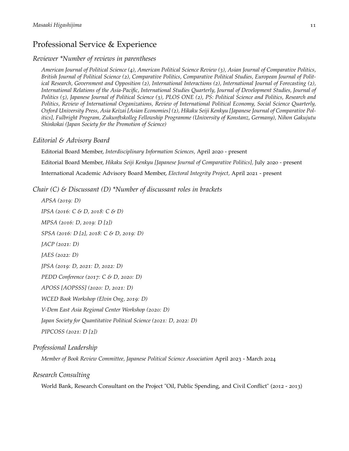# Professional Service & Experience

#### *Reviewer \*Number of reviews in parentheses*

*American Journal of Political Science (4), American Political Science Review (3), Asian Journal of Comparative Politics, British Journal of Political Science (2), Comparative Politics, Comparative Political Studies, European Journal of Political Research, Government and Opposition (2), International Interactions (2), International Journal of Forecasting (2), International Relations of the Asia-Pacific, International Studies Quarterly, Journal of Development Studies, Journal of Politics (5), Japanese Journal of Political Science (3), PLOS ONE (2), PS: Political Science and Politics, Research and Politics, Review of International Organizations, Review of International Political Economy, Social Science Quarterly, Oxford University Press, Asia Keizai [Asian Economies] (2), Hikaku Seiji Kenkyu [Japanese Journal of Comparative Politics], Fulbright Program, Zukunftskolleg Fellowship Programme (University of Konstanz, Germany), Nihon Gakujutu Shinkokai (Japan Society for the Promotion of Science)*

#### *Editorial & Advisory Board*

Editorial Board Member, *Interdisciplinary Information Sciences,* April 2020 - present Editorial Board Member, *Hikaku Seiji Kenkyu [Japanese Journal of Comparative Politics],* July 2020 - present International Academic Advisory Board Member, *Electoral Integrity Project,* April 2021 - present

*Chair (C) & Discussant (D) \*Number of discussant roles in brackets*

*APSA (2019: D) IPSA (2016: C & D, 2018: C & D) MPSA (2016: D, 2019: D [2]) SPSA (2016: D [2], 2018: C & D, 2019: D) JACP (2021: D) JAES (2022: D) JPSA (2019: D, 2021: D, 2022: D) PEDD Conference (2017: C & D, 2020: D) APOSS [AOPSSS] (2020: D, 2021: D) WCED Book Workshop (Elvin Ong, 2019: D) V-Dem East Asia Regional Center Workshop (2020: D) Japan Society for Quantitative Political Science (2021: D, 2022: D)*

*PIPCOSS (2021: D [2])*

*Professional Leadership*

*Member of Book Review Committee, Japanese Political Science Association* April 2023 - March 2024

#### *Research Consulting*

World Bank, Research Consultant on the Project "Oil, Public Spending, and Civil Conflict" (2012 - 2013)